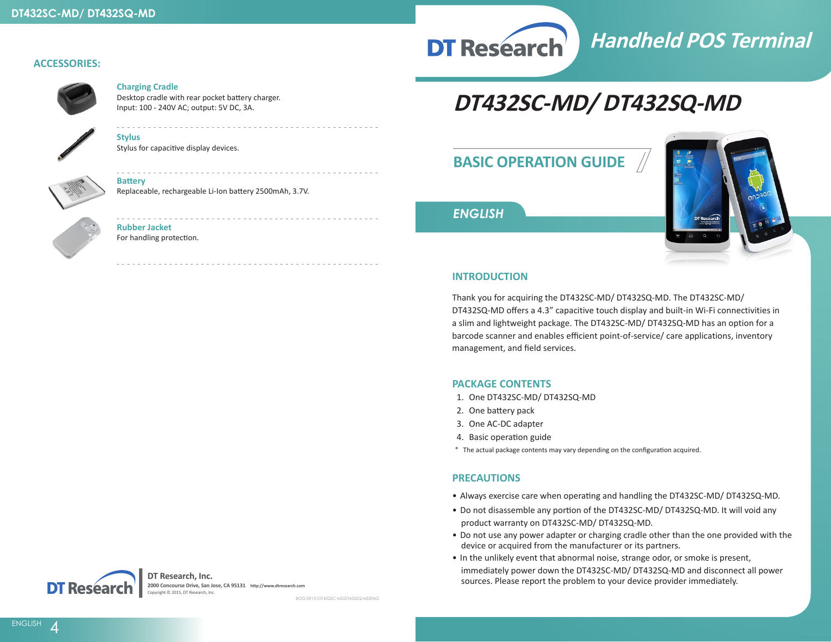

# **Handheld POS Terminal**

#### **ACCESSORIES:**



#### **Charging Cradle**

Desktop cradle with rear pocket battery charger. Input: 100 - 240V AC; output: 5V DC, 3A.

Stylus for capacitive display devices.

Replaceable, rechargeable Li-Ion battery 2500mAh, 3.7V.

## **DT432SC-MD/ DT432SQ-MD**

## **BASIC OPERATION GUIDE**



#### *ENGLISH*

#### **INTRODUCTION**

Thank you for acquiring the DT432SC-MD/ DT432SQ-MD. The DT432SC-MD/ DT432SQ-MD offers a 4.3" capacitive touch display and built-in Wi-Fi connectivities in a slim and lightweight package. The DT432SC-MD/ DT432SQ-MD has an option for a barcode scanner and enables efficient point-of-service/ care applications, inventory management, and field services.

#### **PACKAGE CONTENTS**

- 1. One DT432SC-MD/ DT432SQ-MD
- 2. One battery pack
- 3. One AC-DC adapter
- 4. Basic operation guide
- \* The actual package contents may vary depending on the configuration acquired.

#### **PRECAUTIONS**

- Always exercise care when operating and handling the DT432SC-MD/ DT432SQ-MD.
- Do not disassemble any portion of the DT432SC-MD/ DT432SQ-MD. It will void any product warranty on DT432SC-MD/ DT432SQ-MD.
- Do not use any power adapter or charging cradle other than the one provided with the device or acquired from the manufacturer or its partners.
- In the unlikely event that abnormal noise, strange odor, or smoke is present, immediately power down the DT432SC-MD/ DT432SQ-MD and disconnect all power sources. Please report the problem to your device provider immediately.



### **Rubber Jacket**

**Battery**

**Stylus**

For handling protection.



**DT Research, Inc. 2000 Concourse Drive, San Jose, CA 95131 http://www.dtresearch.com** Copyright © 2015, DT Research, Inc.

BOG 09151DT432SC-MDDT432SQ-MDENG